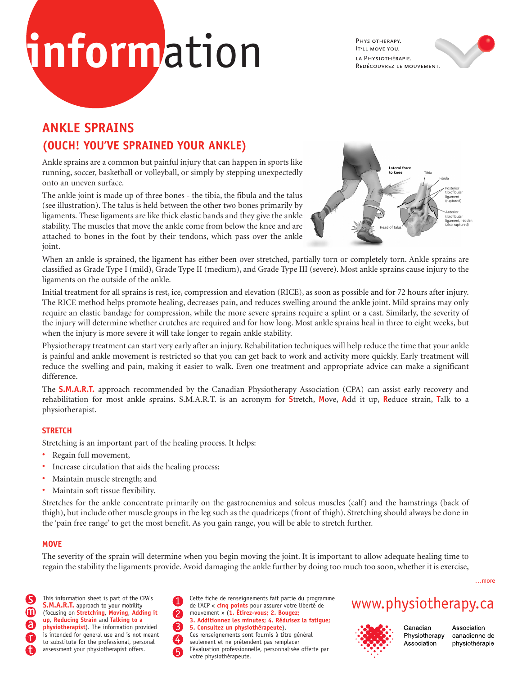# **inform**ation

PHYSIOTHERAPY. **IT'LL MOVE YOU.** LA PHYSIOTHÉRAPIE. REDÉCOUVREZ LE MOUVEMENT.

## **ANKLE SPRAINS (OUCH! YOU'VE SPRAINED YOUR ANKLE)**

Ankle sprains are a common but painful injury that can happen in sports like running, soccer, basketball or volleyball, or simply by stepping unexpectedly onto an uneven surface.

The ankle joint is made up of three bones - the tibia, the fibula and the talus (see illustration). The talus is held between the other two bones primarily by ligaments. These ligaments are like thick elastic bands and they give the ankle stability. The muscles that move the ankle come from below the knee and are attached to bones in the foot by their tendons, which pass over the ankle joint.



When an ankle is sprained, the ligament has either been over stretched, partially torn or completely torn. Ankle sprains are classified as Grade Type I (mild), Grade Type II (medium), and Grade Type III (severe). Most ankle sprains cause injury to the ligaments on the outside of the ankle.

Initial treatment for all sprains is rest, ice, compression and elevation (RICE), as soon as possible and for 72 hours after injury. The RICE method helps promote healing, decreases pain, and reduces swelling around the ankle joint. Mild sprains may only require an elastic bandage for compression, while the more severe sprains require a splint or a cast. Similarly, the severity of the injury will determine whether crutches are required and for how long. Most ankle sprains heal in three to eight weeks, but when the injury is more severe it will take longer to regain ankle stability.

Physiotherapy treatment can start very early after an injury. Rehabilitation techniques will help reduce the time that your ankle is painful and ankle movement is restricted so that you can get back to work and activity more quickly. Early treatment will reduce the swelling and pain, making it easier to walk. Even one treatment and appropriate advice can make a significant difference.

The **S.M.A.R.T.** approach recommended by the Canadian Physiotherapy Association (CPA) can assist early recovery and rehabilitation for most ankle sprains. S.M.A.R.T. is an acronym for **S**tretch, **M**ove, **A**dd it up, **R**educe strain, **T**alk to a physiotherapist.

### **STRETCH**

Stretching is an important part of the healing process. It helps:

- Regain full movement,
- Increase circulation that aids the healing process;
- Maintain muscle strength; and
- Maintain soft tissue flexibility.

Stretches for the ankle concentrate primarily on the gastrocnemius and soleus muscles (calf) and the hamstrings (back of thigh), but include other muscle groups in the leg such as the quadriceps (front of thigh). Stretching should always be done in the 'pain free range' to get the most benefit. As you gain range, you will be able to stretch further.

### **MOVE**

The severity of the sprain will determine when you begin moving the joint. It is important to allow adequate healing time to regain the stability the ligaments provide. Avoid damaging the ankle further by doing too much too soon, whether it is exercise,

**S.M.A.R.T.** approach to your mobility (focusing on **Stretching**, **Moving**, **Adding it up**, **Reducing Strain** and **Talking to a physiotherapist**). The information provided is intended for general use and is not meant to substitute for the professional, personal assessment your physiotherapist offers.

This information sheet is part of the CPA's<br>
S.M.A.R.T. approach to your mobility de l'ACP « cinq points pour assurer votre liberté de WWW. physiotherapy.Ca Cette fiche de renseignements fait partie du programme de l'ACP « **cinq points** pour assurer votre liberté de mouvement » (**1. Étirez-vous; 2. Bougez; 3. Additionnez les minutes; 4. Réduisez la fatigue; 5. Consultez un physiothérapeute**). Ces renseignements sont fournis à titre général seulement et ne prétendent pas remplacer l'évaluation professionnelle, personnalisée offerte par votre physiothérapeute.



Canadian Physiotherapy Association

Association canadienne de physiothérapie

…more